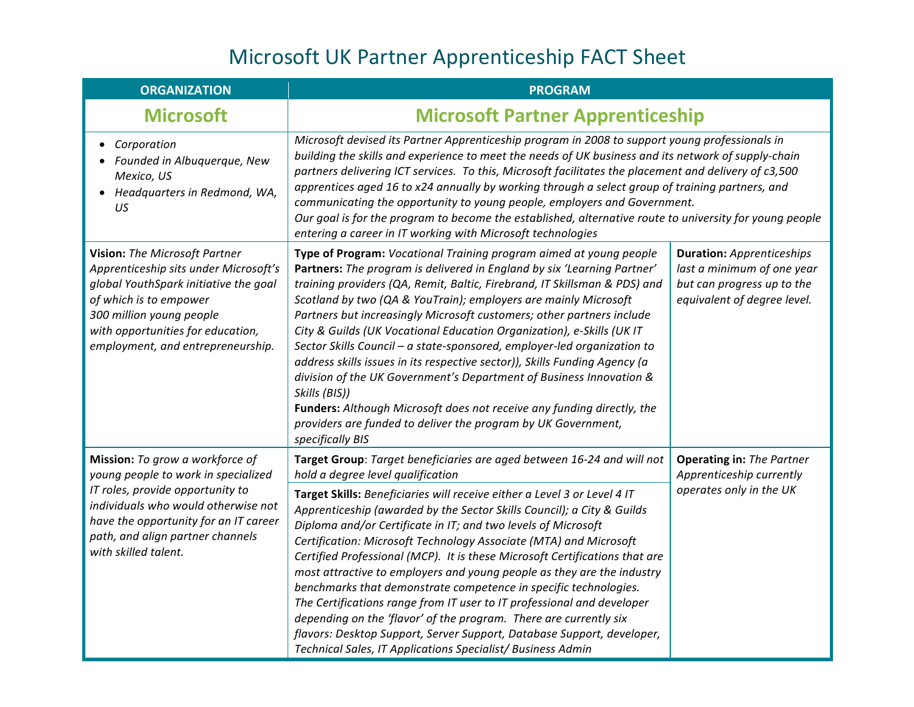| <b>ORGANIZATION</b>                                                                                                                                                                                                                                    | <b>PROGRAM</b>                                                                                                                                                                                                                                                                                                                                                                                                                                                                                                                                                                                                                                                                                                                                                                                                                                                  |                                                                                                                             |  |
|--------------------------------------------------------------------------------------------------------------------------------------------------------------------------------------------------------------------------------------------------------|-----------------------------------------------------------------------------------------------------------------------------------------------------------------------------------------------------------------------------------------------------------------------------------------------------------------------------------------------------------------------------------------------------------------------------------------------------------------------------------------------------------------------------------------------------------------------------------------------------------------------------------------------------------------------------------------------------------------------------------------------------------------------------------------------------------------------------------------------------------------|-----------------------------------------------------------------------------------------------------------------------------|--|
| <b>Microsoft</b>                                                                                                                                                                                                                                       | <b>Microsoft Partner Apprenticeship</b>                                                                                                                                                                                                                                                                                                                                                                                                                                                                                                                                                                                                                                                                                                                                                                                                                         |                                                                                                                             |  |
| Corporation<br>$\bullet$<br>Founded in Albuquerque, New<br>Mexico, US<br>Headquarters in Redmond, WA,<br>US                                                                                                                                            | Microsoft devised its Partner Apprenticeship program in 2008 to support young professionals in<br>building the skills and experience to meet the needs of UK business and its network of supply-chain<br>partners delivering ICT services. To this, Microsoft facilitates the placement and delivery of c3,500<br>apprentices aged 16 to x24 annually by working through a select group of training partners, and<br>communicating the opportunity to young people, employers and Government.<br>Our goal is for the program to become the established, alternative route to university for young people<br>entering a career in IT working with Microsoft technologies                                                                                                                                                                                         |                                                                                                                             |  |
| Vision: The Microsoft Partner<br>Apprenticeship sits under Microsoft's<br>global YouthSpark initiative the goal<br>of which is to empower<br>300 million young people<br>with opportunities for education,<br>employment, and entrepreneurship.        | Type of Program: Vocational Training program aimed at young people<br>Partners: The program is delivered in England by six 'Learning Partner'<br>training providers (QA, Remit, Baltic, Firebrand, IT Skillsman & PDS) and<br>Scotland by two (QA & YouTrain); employers are mainly Microsoft<br>Partners but increasingly Microsoft customers; other partners include<br>City & Guilds (UK Vocational Education Organization), e-Skills (UK IT<br>Sector Skills Council - a state-sponsored, employer-led organization to<br>address skills issues in its respective sector)), Skills Funding Agency (a<br>division of the UK Government's Department of Business Innovation &<br>Skills (BIS))<br>Funders: Although Microsoft does not receive any funding directly, the<br>providers are funded to deliver the program by UK Government,<br>specifically BIS | <b>Duration:</b> Apprenticeships<br>last a minimum of one year<br>but can progress up to the<br>equivalent of degree level. |  |
| Mission: To grow a workforce of<br>young people to work in specialized<br>IT roles, provide opportunity to<br>individuals who would otherwise not<br>have the opportunity for an IT career<br>path, and align partner channels<br>with skilled talent. | Target Group: Target beneficiaries are aged between 16-24 and will not<br>hold a degree level qualification                                                                                                                                                                                                                                                                                                                                                                                                                                                                                                                                                                                                                                                                                                                                                     | <b>Operating in: The Partner</b><br>Apprenticeship currently<br>operates only in the UK                                     |  |
|                                                                                                                                                                                                                                                        | Target Skills: Beneficiaries will receive either a Level 3 or Level 4 IT<br>Apprenticeship (awarded by the Sector Skills Council); a City & Guilds<br>Diploma and/or Certificate in IT; and two levels of Microsoft<br>Certification: Microsoft Technology Associate (MTA) and Microsoft<br>Certified Professional (MCP). It is these Microsoft Certifications that are<br>most attractive to employers and young people as they are the industry<br>benchmarks that demonstrate competence in specific technologies.<br>The Certifications range from IT user to IT professional and developer<br>depending on the 'flavor' of the program. There are currently six<br>flavors: Desktop Support, Server Support, Database Support, developer,<br>Technical Sales, IT Applications Specialist/ Business Admin                                                   |                                                                                                                             |  |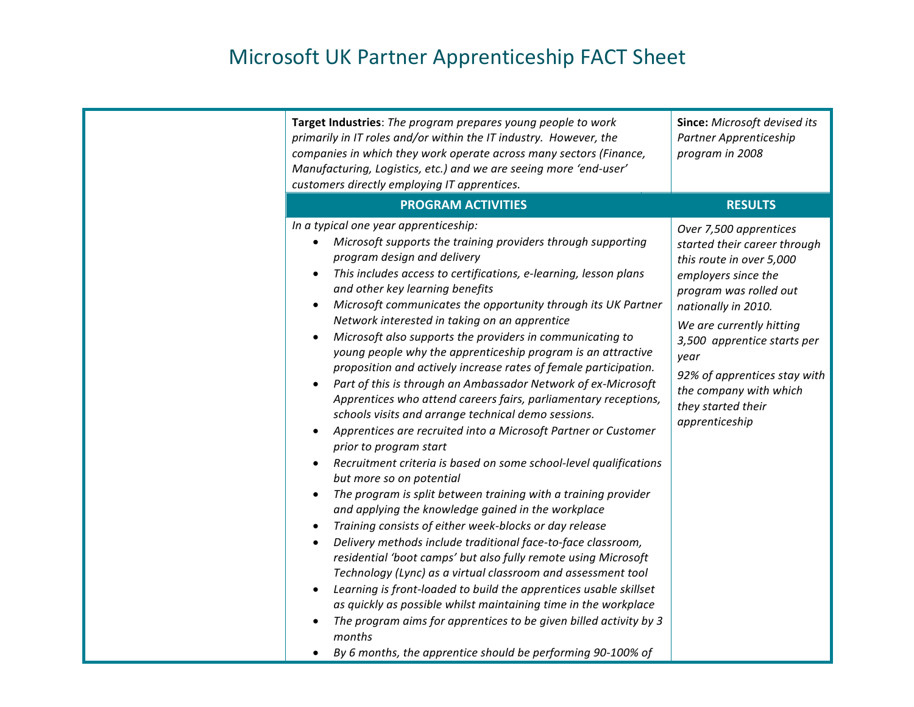| Target Industries: The program prepares young people to work<br>primarily in IT roles and/or within the IT industry. However, the<br>companies in which they work operate across many sectors (Finance,<br>Manufacturing, Logistics, etc.) and we are seeing more 'end-user'<br>customers directly employing IT apprentices.                                                                                                                                                                                                                                                                                                                                                                                                                                                                                                                                                                                                                                                                                                                                                                                                                                                                                                                                                                                                                                                                                                                                                                                                                                                                                                                  | Since: Microsoft devised its<br>Partner Apprenticeship<br>program in 2008                                                                                                                                                                                                                                                       |
|-----------------------------------------------------------------------------------------------------------------------------------------------------------------------------------------------------------------------------------------------------------------------------------------------------------------------------------------------------------------------------------------------------------------------------------------------------------------------------------------------------------------------------------------------------------------------------------------------------------------------------------------------------------------------------------------------------------------------------------------------------------------------------------------------------------------------------------------------------------------------------------------------------------------------------------------------------------------------------------------------------------------------------------------------------------------------------------------------------------------------------------------------------------------------------------------------------------------------------------------------------------------------------------------------------------------------------------------------------------------------------------------------------------------------------------------------------------------------------------------------------------------------------------------------------------------------------------------------------------------------------------------------|---------------------------------------------------------------------------------------------------------------------------------------------------------------------------------------------------------------------------------------------------------------------------------------------------------------------------------|
| <b>PROGRAM ACTIVITIES</b>                                                                                                                                                                                                                                                                                                                                                                                                                                                                                                                                                                                                                                                                                                                                                                                                                                                                                                                                                                                                                                                                                                                                                                                                                                                                                                                                                                                                                                                                                                                                                                                                                     | <b>RESULTS</b>                                                                                                                                                                                                                                                                                                                  |
| In a typical one year apprenticeship:<br>Microsoft supports the training providers through supporting<br>program design and delivery<br>This includes access to certifications, e-learning, lesson plans<br>and other key learning benefits<br>Microsoft communicates the opportunity through its UK Partner<br>Network interested in taking on an apprentice<br>Microsoft also supports the providers in communicating to<br>young people why the apprenticeship program is an attractive<br>proposition and actively increase rates of female participation.<br>Part of this is through an Ambassador Network of ex-Microsoft<br>Apprentices who attend careers fairs, parliamentary receptions,<br>schools visits and arrange technical demo sessions.<br>Apprentices are recruited into a Microsoft Partner or Customer<br>prior to program start<br>Recruitment criteria is based on some school-level qualifications<br>but more so on potential<br>The program is split between training with a training provider<br>and applying the knowledge gained in the workplace<br>Training consists of either week-blocks or day release<br>Delivery methods include traditional face-to-face classroom,<br>$\bullet$<br>residential 'boot camps' but also fully remote using Microsoft<br>Technology (Lync) as a virtual classroom and assessment tool<br>Learning is front-loaded to build the apprentices usable skillset<br>as quickly as possible whilst maintaining time in the workplace<br>The program aims for apprentices to be given billed activity by 3<br>months<br>By 6 months, the apprentice should be performing 90-100% of | Over 7,500 apprentices<br>started their career through<br>this route in over 5,000<br>employers since the<br>program was rolled out<br>nationally in 2010.<br>We are currently hitting<br>3,500 apprentice starts per<br>year<br>92% of apprentices stay with<br>the company with which<br>they started their<br>apprenticeship |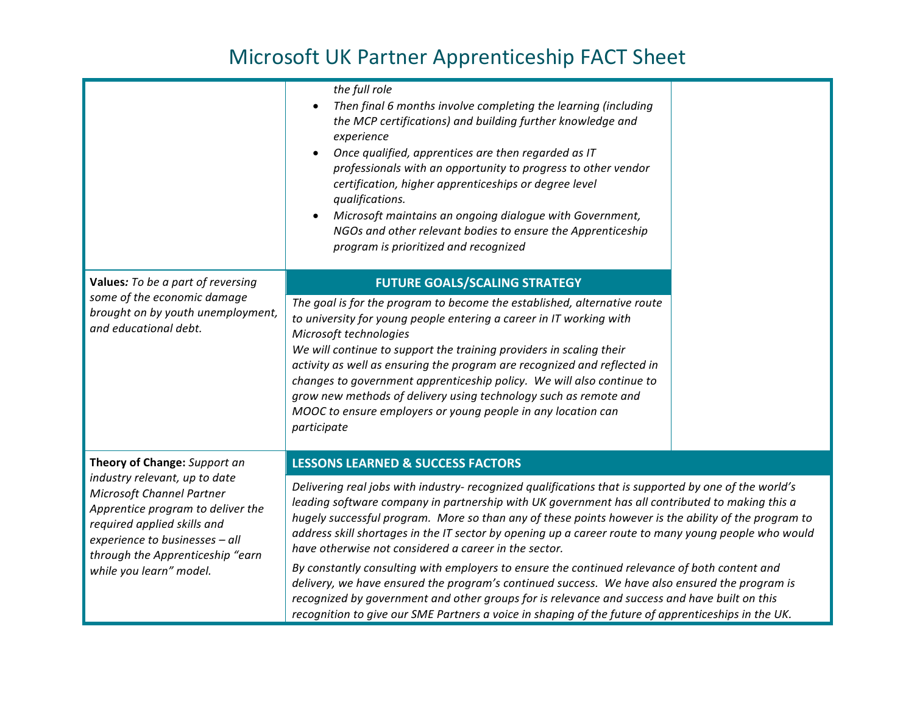|                                                                                                                                                                                                                                                                        | the full role<br>Then final 6 months involve completing the learning (including<br>$\bullet$<br>the MCP certifications) and building further knowledge and<br>experience<br>Once qualified, apprentices are then regarded as IT<br>$\bullet$<br>professionals with an opportunity to progress to other vendor<br>certification, higher apprenticeships or degree level<br>qualifications.<br>Microsoft maintains an ongoing dialogue with Government,<br>NGOs and other relevant bodies to ensure the Apprenticeship<br>program is prioritized and recognized                                                                                                                                                                                                                                                                                                                                |  |
|------------------------------------------------------------------------------------------------------------------------------------------------------------------------------------------------------------------------------------------------------------------------|----------------------------------------------------------------------------------------------------------------------------------------------------------------------------------------------------------------------------------------------------------------------------------------------------------------------------------------------------------------------------------------------------------------------------------------------------------------------------------------------------------------------------------------------------------------------------------------------------------------------------------------------------------------------------------------------------------------------------------------------------------------------------------------------------------------------------------------------------------------------------------------------|--|
| Values: To be a part of reversing<br>some of the economic damage<br>brought on by youth unemployment,<br>and educational debt.                                                                                                                                         | <b>FUTURE GOALS/SCALING STRATEGY</b>                                                                                                                                                                                                                                                                                                                                                                                                                                                                                                                                                                                                                                                                                                                                                                                                                                                         |  |
|                                                                                                                                                                                                                                                                        | The goal is for the program to become the established, alternative route<br>to university for young people entering a career in IT working with<br>Microsoft technologies<br>We will continue to support the training providers in scaling their<br>activity as well as ensuring the program are recognized and reflected in<br>changes to government apprenticeship policy. We will also continue to<br>grow new methods of delivery using technology such as remote and<br>MOOC to ensure employers or young people in any location can<br>participate                                                                                                                                                                                                                                                                                                                                     |  |
| Theory of Change: Support an<br>industry relevant, up to date<br><b>Microsoft Channel Partner</b><br>Apprentice program to deliver the<br>required applied skills and<br>experience to businesses - all<br>through the Apprenticeship "earn<br>while you learn" model. | <b>LESSONS LEARNED &amp; SUCCESS FACTORS</b>                                                                                                                                                                                                                                                                                                                                                                                                                                                                                                                                                                                                                                                                                                                                                                                                                                                 |  |
|                                                                                                                                                                                                                                                                        | Delivering real jobs with industry- recognized qualifications that is supported by one of the world's<br>leading software company in partnership with UK government has all contributed to making this a<br>hugely successful program. More so than any of these points however is the ability of the program to<br>address skill shortages in the IT sector by opening up a career route to many young people who would<br>have otherwise not considered a career in the sector.<br>By constantly consulting with employers to ensure the continued relevance of both content and<br>delivery, we have ensured the program's continued success. We have also ensured the program is<br>recognized by government and other groups for is relevance and success and have built on this<br>recognition to give our SME Partners a voice in shaping of the future of apprenticeships in the UK. |  |